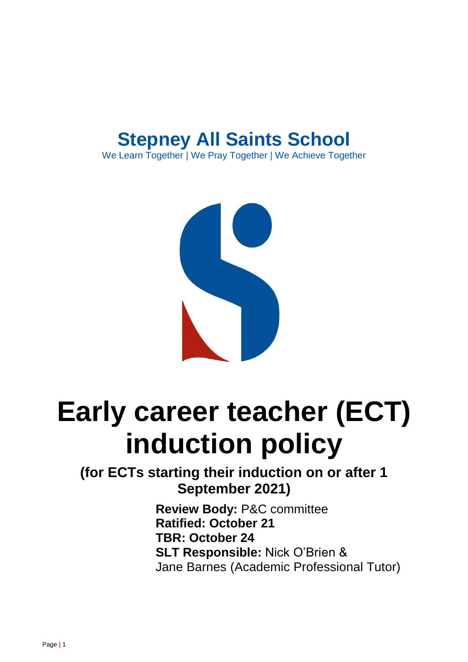

We Learn Together | We Pray Together | We Achieve Together



# **Early career teacher (ECT) induction policy**

# **(for ECTs starting their induction on or after 1 September 2021)**

**Review Body:** P&C committee **Ratified: October 21 TBR: October 24 SLT Responsible:** Nick O'Brien & Jane Barnes (Academic Professional Tutor)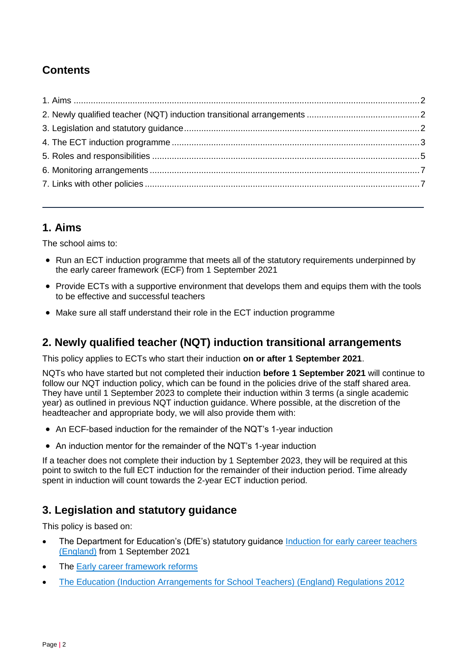## **Contents**

## <span id="page-1-0"></span>**1. Aims**

The school aims to:

- Run an ECT induction programme that meets all of the statutory requirements underpinned by the early career framework (ECF) from 1 September 2021
- Provide ECTs with a supportive environment that develops them and equips them with the tools to be effective and successful teachers
- Make sure all staff understand their role in the ECT induction programme

## <span id="page-1-1"></span>**2. Newly qualified teacher (NQT) induction transitional arrangements**

This policy applies to ECTs who start their induction **on or after 1 September 2021**.

NQTs who have started but not completed their induction **before 1 September 2021** will continue to follow our NQT induction policy, which can be found in the policies drive of the staff shared area. They have until 1 September 2023 to complete their induction within 3 terms (a single academic year) as outlined in previous NQT induction guidance. Where possible, at the discretion of the headteacher and appropriate body, we will also provide them with:

- An ECF-based induction for the remainder of the NQT's 1-year induction
- An induction mentor for the remainder of the NQT's 1-year induction

If a teacher does not complete their induction by 1 September 2023, they will be required at this point to switch to the full ECT induction for the remainder of their induction period. Time already spent in induction will count towards the 2-year ECT induction period.

## <span id="page-1-2"></span>**3. Legislation and statutory guidance**

This policy is based on:

- The Department for Education's (DfE's) statutory guidance Induction for early career teachers [\(England\)](https://www.gov.uk/government/publications/induction-for-early-career-teachers-england) from 1 September 2021
- The [Early career framework reforms](https://www.gov.uk/government/collections/early-career-framework-reforms)
- [The Education \(Induction Arrangements for School Teachers\) \(England\) Regulations 2012](http://www.legislation.gov.uk/uksi/2012/1115/contents/made)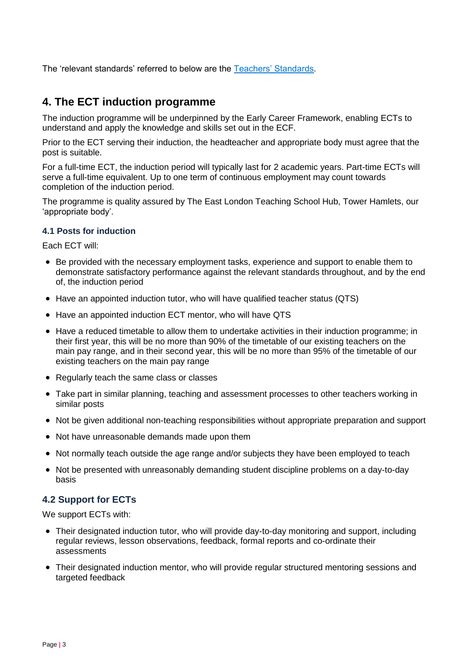<span id="page-2-0"></span>The 'relevant standards' referred to below are the [Teachers' Standards.](https://www.gov.uk/government/publications/teachers-standards)

### **4. The ECT induction programme**

The induction programme will be underpinned by the Early Career Framework, enabling ECTs to understand and apply the knowledge and skills set out in the ECF.

Prior to the ECT serving their induction, the headteacher and appropriate body must agree that the post is suitable.

For a full-time ECT, the induction period will typically last for 2 academic years. Part-time ECTs will serve a full-time equivalent. Up to one term of continuous employment may count towards completion of the induction period.

The programme is quality assured by The East London Teaching School Hub, Tower Hamlets, our 'appropriate body'.

#### **4.1 Posts for induction**

Each ECT will:

- Be provided with the necessary employment tasks, experience and support to enable them to demonstrate satisfactory performance against the relevant standards throughout, and by the end of, the induction period
- Have an appointed induction tutor, who will have qualified teacher status (QTS)
- Have an appointed induction ECT mentor, who will have QTS
- Have a reduced timetable to allow them to undertake activities in their induction programme; in their first year, this will be no more than 90% of the timetable of our existing teachers on the main pay range, and in their second year, this will be no more than 95% of the timetable of our existing teachers on the main pay range
- Regularly teach the same class or classes
- Take part in similar planning, teaching and assessment processes to other teachers working in similar posts
- Not be given additional non-teaching responsibilities without appropriate preparation and support
- Not have unreasonable demands made upon them
- Not normally teach outside the age range and/or subjects they have been employed to teach
- Not be presented with unreasonably demanding student discipline problems on a day-to-day basis

#### **4.2 Support for ECTs**

We support ECTs with:

- Their designated induction tutor, who will provide day-to-day monitoring and support, including regular reviews, lesson observations, feedback, formal reports and co-ordinate their assessments
- Their designated induction mentor, who will provide regular structured mentoring sessions and targeted feedback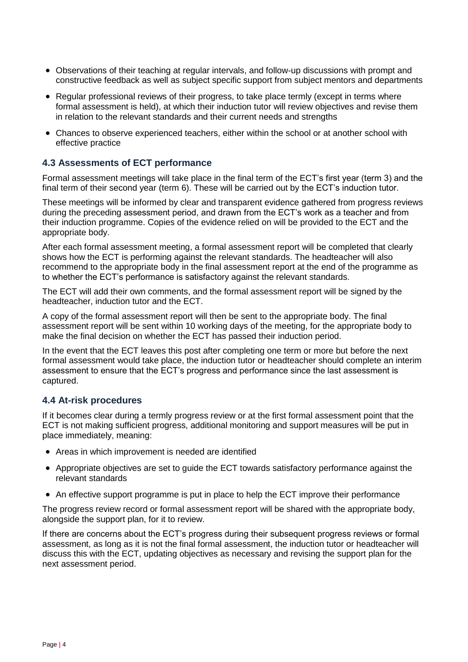- Observations of their teaching at regular intervals, and follow-up discussions with prompt and constructive feedback as well as subject specific support from subject mentors and departments
- Regular professional reviews of their progress, to take place termly (except in terms where formal assessment is held), at which their induction tutor will review objectives and revise them in relation to the relevant standards and their current needs and strengths
- Chances to observe experienced teachers, either within the school or at another school with effective practice

#### **4.3 Assessments of ECT performance**

Formal assessment meetings will take place in the final term of the ECT's first year (term 3) and the final term of their second year (term 6). These will be carried out by the ECT's induction tutor.

These meetings will be informed by clear and transparent evidence gathered from progress reviews during the preceding assessment period, and drawn from the ECT's work as a teacher and from their induction programme. Copies of the evidence relied on will be provided to the ECT and the appropriate body.

After each formal assessment meeting, a formal assessment report will be completed that clearly shows how the ECT is performing against the relevant standards. The headteacher will also recommend to the appropriate body in the final assessment report at the end of the programme as to whether the ECT's performance is satisfactory against the relevant standards.

The ECT will add their own comments, and the formal assessment report will be signed by the headteacher, induction tutor and the ECT.

A copy of the formal assessment report will then be sent to the appropriate body. The final assessment report will be sent within 10 working days of the meeting, for the appropriate body to make the final decision on whether the ECT has passed their induction period.

In the event that the ECT leaves this post after completing one term or more but before the next formal assessment would take place, the induction tutor or headteacher should complete an interim assessment to ensure that the ECT's progress and performance since the last assessment is captured.

#### **4.4 At-risk procedures**

If it becomes clear during a termly progress review or at the first formal assessment point that the ECT is not making sufficient progress, additional monitoring and support measures will be put in place immediately, meaning:

- Areas in which improvement is needed are identified
- Appropriate objectives are set to guide the ECT towards satisfactory performance against the relevant standards
- An effective support programme is put in place to help the ECT improve their performance

The progress review record or formal assessment report will be shared with the appropriate body, alongside the support plan, for it to review.

If there are concerns about the ECT's progress during their subsequent progress reviews or formal assessment, as long as it is not the final formal assessment, the induction tutor or headteacher will discuss this with the ECT, updating objectives as necessary and revising the support plan for the next assessment period.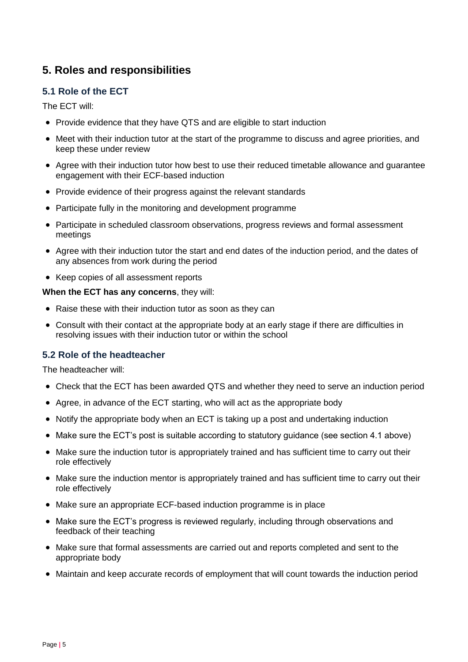## <span id="page-4-0"></span>**5. Roles and responsibilities**

#### **5.1 Role of the ECT**

The ECT will:

- Provide evidence that they have QTS and are eligible to start induction
- Meet with their induction tutor at the start of the programme to discuss and agree priorities, and keep these under review
- Agree with their induction tutor how best to use their reduced timetable allowance and guarantee engagement with their ECF-based induction
- Provide evidence of their progress against the relevant standards
- Participate fully in the monitoring and development programme
- Participate in scheduled classroom observations, progress reviews and formal assessment meetings
- Agree with their induction tutor the start and end dates of the induction period, and the dates of any absences from work during the period
- Keep copies of all assessment reports

#### **When the ECT has any concerns**, they will:

- Raise these with their induction tutor as soon as they can
- Consult with their contact at the appropriate body at an early stage if there are difficulties in resolving issues with their induction tutor or within the school

#### **5.2 Role of the headteacher**

The headteacher will:

- Check that the ECT has been awarded QTS and whether they need to serve an induction period
- Agree, in advance of the ECT starting, who will act as the appropriate body
- Notify the appropriate body when an ECT is taking up a post and undertaking induction
- Make sure the ECT's post is suitable according to statutory guidance (see section 4.1 above)
- Make sure the induction tutor is appropriately trained and has sufficient time to carry out their role effectively
- Make sure the induction mentor is appropriately trained and has sufficient time to carry out their role effectively
- Make sure an appropriate ECF-based induction programme is in place
- Make sure the ECT's progress is reviewed regularly, including through observations and feedback of their teaching
- Make sure that formal assessments are carried out and reports completed and sent to the appropriate body
- Maintain and keep accurate records of employment that will count towards the induction period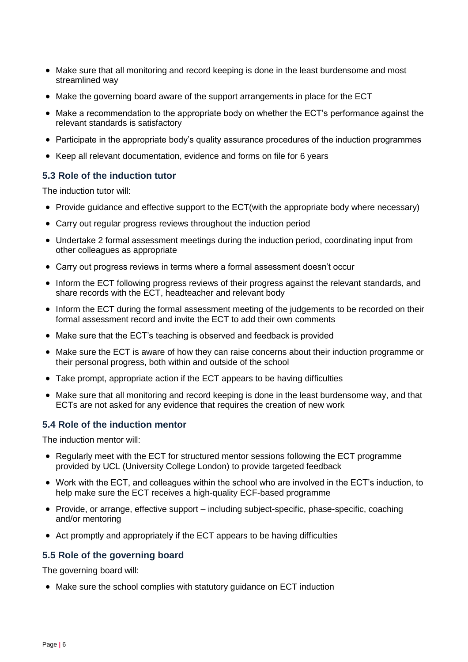- Make sure that all monitoring and record keeping is done in the least burdensome and most streamlined way
- Make the governing board aware of the support arrangements in place for the ECT
- Make a recommendation to the appropriate body on whether the ECT's performance against the relevant standards is satisfactory
- Participate in the appropriate body's quality assurance procedures of the induction programmes
- Keep all relevant documentation, evidence and forms on file for 6 years

#### **5.3 Role of the induction tutor**

The induction tutor will:

- Provide guidance and effective support to the ECT(with the appropriate body where necessary)
- Carry out regular progress reviews throughout the induction period
- Undertake 2 formal assessment meetings during the induction period, coordinating input from other colleagues as appropriate
- Carry out progress reviews in terms where a formal assessment doesn't occur
- Inform the ECT following progress reviews of their progress against the relevant standards, and share records with the ECT, headteacher and relevant body
- Inform the ECT during the formal assessment meeting of the judgements to be recorded on their formal assessment record and invite the ECT to add their own comments
- Make sure that the ECT's teaching is observed and feedback is provided
- Make sure the ECT is aware of how they can raise concerns about their induction programme or their personal progress, both within and outside of the school
- Take prompt, appropriate action if the ECT appears to be having difficulties
- Make sure that all monitoring and record keeping is done in the least burdensome way, and that ECTs are not asked for any evidence that requires the creation of new work

#### **5.4 Role of the induction mentor**

The induction mentor will:

- Regularly meet with the ECT for structured mentor sessions following the ECT programme provided by UCL (University College London) to provide targeted feedback
- Work with the ECT, and colleagues within the school who are involved in the ECT's induction, to help make sure the ECT receives a high-quality ECF-based programme
- Provide, or arrange, effective support including subject-specific, phase-specific, coaching and/or mentoring
- Act promptly and appropriately if the ECT appears to be having difficulties

#### **5.5 Role of the governing board**

The governing board will:

• Make sure the school complies with statutory guidance on ECT induction